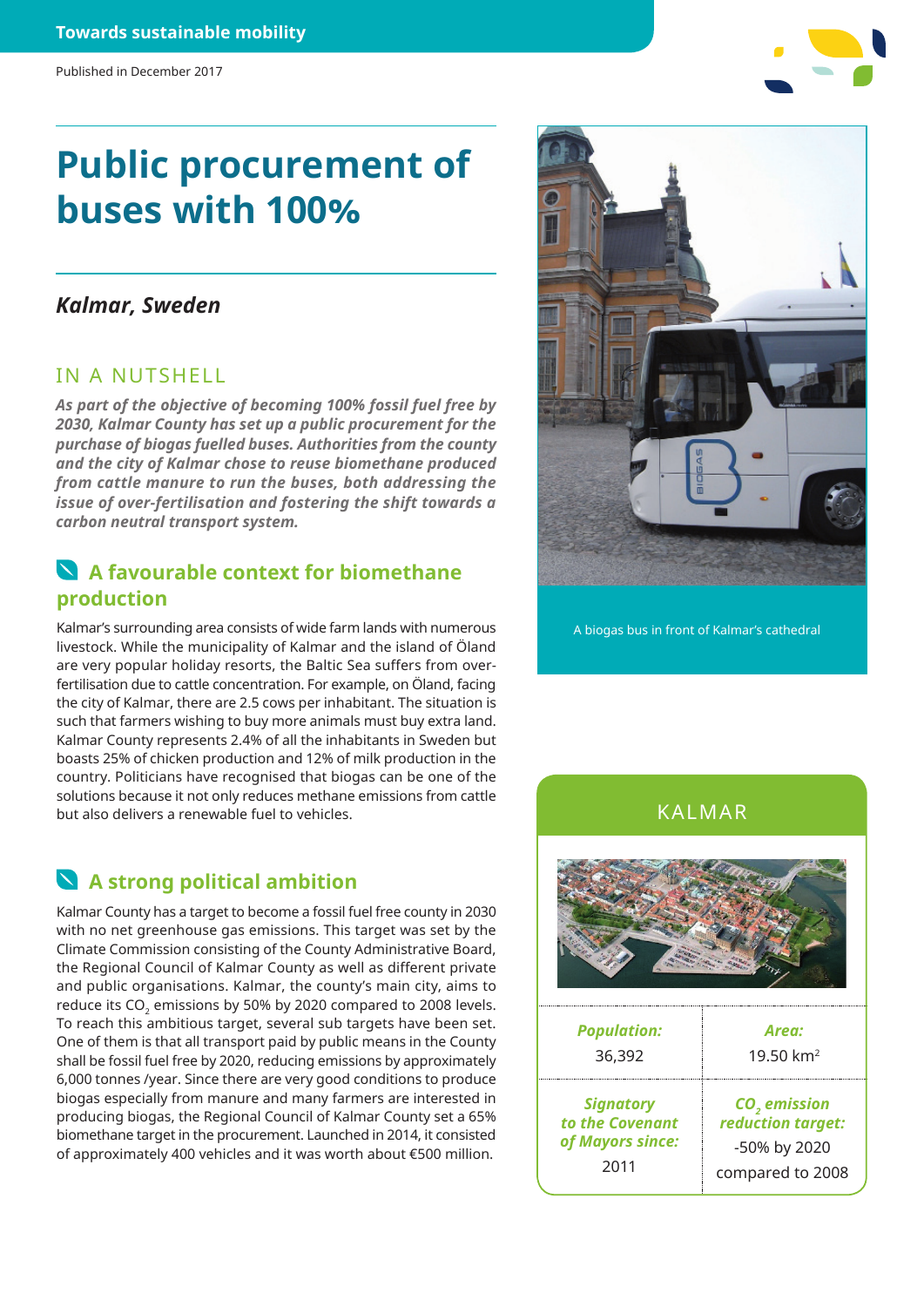# **Public procurement of buses with 100%**

#### *Kalmar, Sweden*

#### IN A NUTSHELL

*As part of the objective of becoming 100% fossil fuel free by 2030, Kalmar County has set up a public procurement for the purchase of biogas fuelled buses. Authorities from the county and the city of Kalmar chose to reuse biomethane produced from cattle manure to run the buses, both addressing the issue of over-fertilisation and fostering the shift towards a carbon neutral transport system.* 

#### **A favourable context for biomethane production**

Kalmar's surrounding area consists of wide farm lands with numerous livestock. While the municipality of Kalmar and the island of Öland are very popular holiday resorts, the Baltic Sea suffers from overfertilisation due to cattle concentration. For example, on Öland, facing the city of Kalmar, there are 2.5 cows per inhabitant. The situation is such that farmers wishing to buy more animals must buy extra land. Kalmar County represents 2.4% of all the inhabitants in Sweden but boasts 25% of chicken production and 12% of milk production in the country. Politicians have recognised that biogas can be one of the solutions because it not only reduces methane emissions from cattle but also delivers a renewable fuel to vehicles.

# **A strong political ambition**

Kalmar County has a target to become a fossil fuel free county in 2030 with no net greenhouse gas emissions. This target was set by the Climate Commission consisting of the County Administrative Board, the Regional Council of Kalmar County as well as different private and public organisations. Kalmar, the county's main city, aims to reduce its CO<sub>2</sub> emissions by 50% by 2020 compared to 2008 levels. To reach this ambitious target, several sub targets have been set. One of them is that all transport paid by public means in the County shall be fossil fuel free by 2020, reducing emissions by approximately 6,000 tonnes /year. Since there are very good conditions to produce biogas especially from manure and many farmers are interested in producing biogas, the Regional Council of Kalmar County set a 65% biomethane target in the procurement. Launched in 2014, it consisted of approximately 400 vehicles and it was worth about €500 million.



A biogas bus in front of Kalmar's cathedral